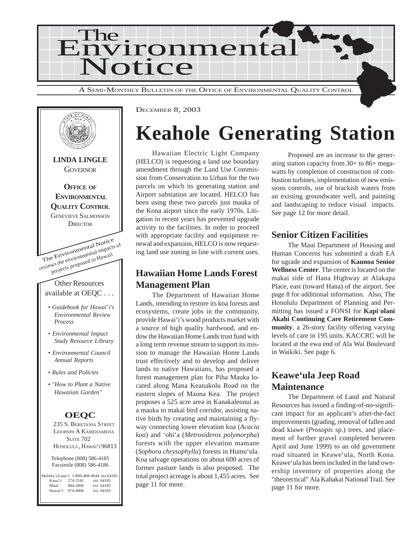



DECEMBER 8, 2003

# **Keahole Generating Station**

Hawaiian Electric Light Company (HELCO) is requesting a land use boundary amendment through the Land Use Commission from Conservation to Urban for the two parcels on which its generating station and Airport substation are located. HELCO has been using these two parcels just mauka of the Kona airport since the early 1970s. Litigation in recent years has prevented upgrade activity to the facilities. In order to proceed with appropriate facility and equipment renewal and expansion, HELCO is now requesting land use zoning in line with current uses.

#### **Hawaiian Home Lands Forest Management Plan**

The Department of Hawaiian Home Lands, intending to restore its koa forests and ecosystems, create jobs in the community, provide Hawai'i's wood products market with a source of high quality hardwood, and endow the Hawaiian Home Lands trust fund with a long term revenue stream to support its mission to manage the Hawaiian Home Lands trust effectively and to develop and deliver lands to native Hawaiians, has proposed a forest management plan for Piha Mauka located along Mana Keanakolu Road on the eastern slopes of Mauna Kea. The project proposes a 525 acre area in Kanakaleonui as a mauka to makai bird corridor, assisting native birds by creating and maintaining a flyway connecting lower elevation koa (*Acacia koa*) and 'ohi'a (*Metrosideros polymorpha*) forests with the upper elevation mamane (*Sophora chrysophylla*) forests in Humu'ula. Koa salvage operations on about 600 acres of former pasture lands is also proposed. The total project acreage is about 1,455 acres. See page 11 for more.

Proposed are an increase to the generating station capacity from 30+ to 86+ megawatts by completion of construction of combustion turbines, implementation of new emissions controls, use of brackish waters from an existing groundwater well, and painting and landscaping to reduce visual impacts. See page 12 for more detail.

#### **Senior Citizen Facilities**

The Maui Department of Housing and Human Concerns has submitted a draft EA for ugrade and expansion of **Kaunoa Senior Wellness Center**. The center is located on the makai side of Hana Highway at Alakapa Place, east (toward Hana) of the airport. See page 8 for additional information. Also, The Honolulu Department of Planning and Permitting has issued a FONSI for **Kapi**'**olani Akahi Continuing Care Retirement Community**, a 26-story facility offering varying levels of care in 195 units. KACCRC will be located at the ewa end of Ala Wai Boulevard in Waikiki. See page 6.

#### **Keawe'ula Jeep Road Maintenance**

The Department of Land and Natural Resources has issued a finding-of-no-significant impact for an applicant's after-the-fact improvements (grading, removal of fallen and dead kiawe (*Prosopis* sp.) trees, and placement of further gravel completed between April and June 1999) to an old government road situated in Keawe'ula, North Kona. Keawe'ula has been included in the land ownership inventory of properties along the "theorectical" Ala Kahakai National Trail. See page 11 for more.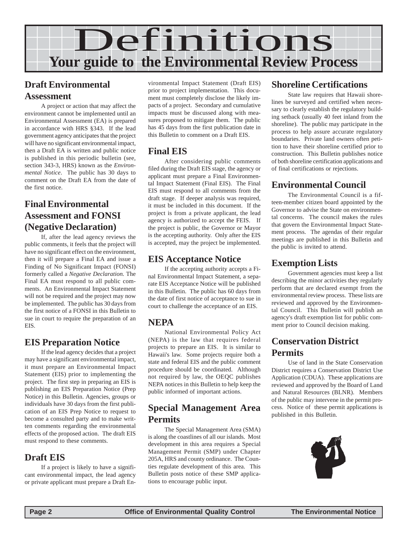

#### **Draft Environmental Assessment**

A project or action that may affect the environment cannot be implemented until an Environmental Assessment (EA) is prepared in accordance with HRS §343. If the lead government agency anticipates that the project will have no significant environmental impact, then a Draft EA is written and public notice is published in this periodic bulletin (see, section 343-3, HRS) known as the *Environmental Notice*. The public has 30 days to comment on the Draft EA from the date of the first notice.

#### **Final Environmental Assessment and FONSI (Negative Declaration)**

If, after the lead agency reviews the public comments, it feels that the project will have no significant effect on the environment, then it will prepare a Final EA and issue a Finding of No Significant Impact (FONSI) formerly called a *Negative Declaration.* The Final EA must respond to all public comments. An Environmental Impact Statement will not be required and the project may now be implemented. The public has 30 days from the first notice of a FONSI in this Bulletin to sue in court to require the preparation of an EIS.

#### **EIS Preparation Notice**

If the lead agency decides that a project may have a significant environmental impact, it must prepare an Environmental Impact Statement (EIS) prior to implementing the project. The first step in preparing an EIS is publishing an EIS Preparation Notice (Prep Notice) in this Bulletin. Agencies, groups or individuals have 30 days from the first publication of an EIS Prep Notice to request to become a consulted party and to make written comments regarding the environmental effects of the proposed action. The draft EIS must respond to these comments.

#### **Draft EIS**

If a project is likely to have a significant environmental impact, the lead agency or private applicant must prepare a Draft En-

vironmental Impact Statement (Draft EIS) prior to project implementation. This document must completely disclose the likely impacts of a project. Secondary and cumulative impacts must be discussed along with measures proposed to mitigate them. The public has 45 days from the first publication date in this Bulletin to comment on a Draft EIS.

#### **Final EIS**

After considering public comments filed during the Draft EIS stage, the agency or applicant must prepare a Final Environmental Impact Statement (Final EIS). The Final EIS must respond to all comments from the draft stage. If deeper analysis was required, it must be included in this document. If the project is from a private applicant, the lead agency is authorized to accept the FEIS. If the project is public, the Governor or Mayor is the accepting authority. Only after the EIS is accepted, may the project be implemented.

#### **EIS Acceptance Notice**

If the accepting authority accepts a Final Environmental Impact Statement, a separate EIS Acceptance Notice will be published in this Bulletin. The public has 60 days from the date of first notice of acceptance to sue in court to challenge the acceptance of an EIS.

#### **NEPA**

National Environmental Policy Act (NEPA) is the law that requires federal projects to prepare an EIS. It is similar to Hawaii's law. Some projects require both a state and federal EIS and the public comment procedure should be coordinated. Although not required by law, the OEQC publishes NEPA notices in this Bulletin to help keep the public informed of important actions.

#### **Special Management Area Permits**

The Special Management Area (SMA) is along the coastlines of all our islands. Most development in this area requires a Special Management Permit (SMP) under Chapter 205A, HRS and county ordinance. The Counties regulate development of this area. This Bulletin posts notice of these SMP applications to encourage public input.

#### **Shoreline Certifications**

State law requires that Hawaii shorelines be surveyed and certified when necessary to clearly establish the regulatory building setback (usually 40 feet inland from the shoreline). The public may participate in the process to help assure accurate regulatory boundaries. Private land owners often petition to have their shoreline certified prior to construction. This Bulletin publishes notice of both shoreline certification applications and of final certifications or rejections.

#### **Environmental Council**

The Environmental Council is a fifteen-member citizen board appointed by the Governor to advise the State on environmental concerns. The council makes the rules that govern the Environmental Impact Statement process. The agendas of their regular meetings are published in this Bulletin and the public is invited to attend.

#### **Exemption Lists**

Government agencies must keep a list describing the minor activities they regularly perform that are declared exempt from the environmental review process. These lists are reviewed and approved by the Environmental Council. This Bulletin will publish an agency's draft exemption list for public comment prior to Council decision making.

#### **Conservation District Permits**

Use of land in the State Conservation District requires a Conservation District Use Application (CDUA). These applications are reviewed and approved by the Board of Land and Natural Resources (BLNR). Members of the public may intervene in the permit process. Notice of these permit applications is published in this Bulletin.

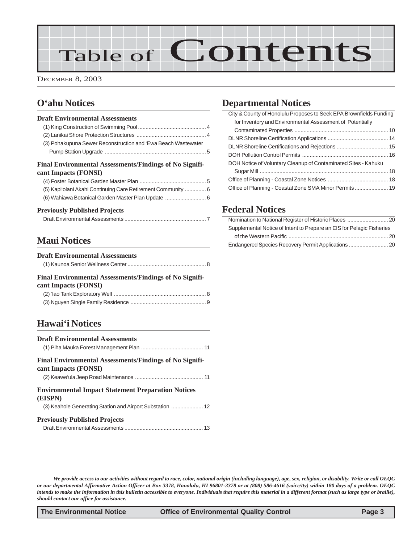# Table of Contents

DECEMBER 8, 2003

#### **O'ahu Notices**

#### **Draft Environmental Assessments**

| (3) Pohakupuna Sewer Reconstruction and 'Ewa Beach Wastewater  |  |
|----------------------------------------------------------------|--|
|                                                                |  |
| <b>Final Environmental Assessments/Findings of No Signifi-</b> |  |
| cant Impacts (FONSI)                                           |  |
|                                                                |  |

| (5) Kapi'olani Akahi Continuing Care Retirement Community  6 |  |
|--------------------------------------------------------------|--|
|                                                              |  |

#### **Previously Published Projects**

#### **Maui Notices**

#### **Draft Environmental Assessments**

|--|--|

#### **Final Environmental Assessments/Findings of No Significant Impacts (FONSI)** [\(2\) 'Iao Tank Exploratory Well ............................................................. 8](#page-7-0)

#### **Hawai'i Notices**

| <b>Draft Environmental Assessments</b>                                          |  |
|---------------------------------------------------------------------------------|--|
| Final Environmental Assessments/Findings of No Signifi-<br>cant Impacts (FONSI) |  |
| <b>Environmental Impact Statement Preparation Notices</b><br>(EISPN)            |  |
| <b>Previously Published Projects</b>                                            |  |

#### **Departmental Notices**

| City & County of Honolulu Proposes to Seek EPA Brownfields Funding |  |
|--------------------------------------------------------------------|--|
| for Inventory and Environmental Assessment of Potentially          |  |
|                                                                    |  |
|                                                                    |  |
|                                                                    |  |
|                                                                    |  |
| DOH Notice of Voluntary Cleanup of Contaminated Sites - Kahuku     |  |
|                                                                    |  |
|                                                                    |  |
|                                                                    |  |

#### **Federal Notices**

| Supplemental Notice of Intent to Prepare an EIS for Pelagic Fisheries |
|-----------------------------------------------------------------------|
|                                                                       |
|                                                                       |

*We provide access to our activities without regard to race, color, national origin (including language), age, sex, religion, or disability. Write or call OEQC or our departmental Affirmative Action Officer at Box 3378, Honolulu, HI 96801-3378 or at (808) 586-4616 (voice/tty) within 180 days of a problem. OEQC intends to make the information in this bulletin accessible to everyone. Individuals that require this material in a different format (such as large type or braille), should contact our office for assistance.*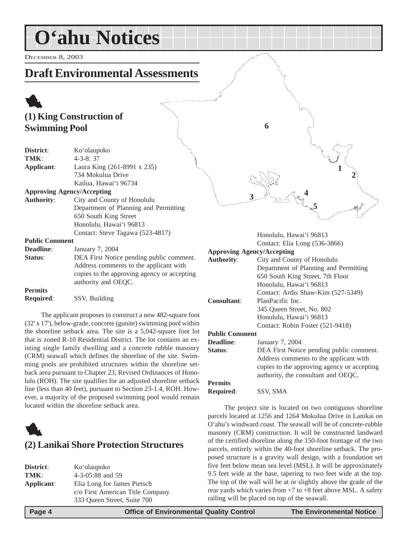# <span id="page-3-0"></span>**O'ahu Notices**

DECEMBER 8, 2003

### **Draft Environmental Assessments**

### 1 **(1) King Construction of Swimming Pool**

| District:             | Ko'olaupoko                                 |  |  |
|-----------------------|---------------------------------------------|--|--|
| TMK:                  | $4 - 3 - 8:37$                              |  |  |
| Applicant:            | Laura King (261-8991 x 235)                 |  |  |
|                       | 734 Mokulua Drive                           |  |  |
|                       | Kailua, Hawai'i 96734                       |  |  |
|                       | <b>Approving Agency/Accepting</b>           |  |  |
| <b>Authority:</b>     | City and County of Honolulu                 |  |  |
|                       | Department of Planning and Permitting       |  |  |
|                       | 650 South King Street                       |  |  |
|                       | Honolulu, Hawai'i 96813                     |  |  |
|                       | Contact: Steve Tagawa (523-4817)            |  |  |
| <b>Public Comment</b> |                                             |  |  |
| <b>Deadline:</b>      | January 7, 2004                             |  |  |
| Status:               | DEA First Notice pending public comment.    |  |  |
|                       | Address comments to the applicant with      |  |  |
|                       | copies to the approving agency or accepting |  |  |
|                       | authority and OEQC.                         |  |  |
|                       |                                             |  |  |

**Permits Required**: SSV, Building

The applicant proposes to construct a new 482-square foot (32' x 17'), below-grade, concrete (gunite) swimming pool within the shoreline setback area. The site is a 5,042-square foot lot that is zoned R-10 Residential District. The lot contains an existing single family dwelling and a concrete rubble masonry (CRM) seawall which defines the shoreline of the site. Swimming pools are prohibited structures within the shoreline setback area pursuant to Chapter 23, Revised Ordinances of Honolulu (ROH). The site qualifies for an adjusted shoreline setback line (less than 40 feet), pursuant to Section 23-1.4, ROH. However, a majority of the proposed swimming pool would remain located within the shoreline setback area.



| District:  | Ko'olaupoko                      |
|------------|----------------------------------|
| TMK:       | 4-3-05:88 and 59                 |
| Applicant: | Elia Long for James Pietsch      |
|            | c/o First American Title Company |
|            | 333 Oueen Street, Suite 700      |

**5 2 3 1 4 6**

> Honolulu, Hawai'i 96813 Contact: Elia Long (536-3866)

| <b>Approving Agency/Accepting</b> |                                             |  |  |
|-----------------------------------|---------------------------------------------|--|--|
| <b>Authority:</b>                 | City and County of Honolulu                 |  |  |
|                                   | Department of Planning and Permitting       |  |  |
|                                   | 650 South King Street, 7th Floor            |  |  |
|                                   | Honolulu, Hawai'i 96813                     |  |  |
|                                   | Contact: Ardis Shaw-Kim (527-5349)          |  |  |
| <b>Consultant:</b>                | PlanPacific Inc.                            |  |  |
|                                   | 345 Oueen Street, No. 802                   |  |  |
|                                   | Honolulu, Hawai'i 96813                     |  |  |
|                                   | Contact: Robin Foster (521-9418)            |  |  |
| <b>Public Comment</b>             |                                             |  |  |
| <b>Deadline:</b>                  | January 7, 2004                             |  |  |
| Status:                           | DEA First Notice pending public comment.    |  |  |
|                                   | Address comments to the applicant with      |  |  |
|                                   | copies to the approving agency or accepting |  |  |
|                                   | authority, the consultant and OEQC.         |  |  |
| <b>Permits</b>                    |                                             |  |  |
| Required:                         | SSV. SMA                                    |  |  |

The project site is located on two contiguous shoreline parcels located at 1256 and 1264 Mokulua Drive in Lanikai on O'ahu's windward coast. The seawall will be of concrete-rubble masonry (CRM) construction. It will be constructed landward of the certified shoreline along the 150-foot frontage of the two parcels, entirely within the 40-foot shoreline setback. The proposed structure is a gravity wall design, with a foundation set five feet below mean sea level (MSL). It will be approximately 9.5 feet wide at the base, tapering to two feet wide at the top. The top of the wall will be at or slightly above the grade of the rear yards which varies from +7 to +8 feet above MSL. A safety railing will be placed on top of the seawall.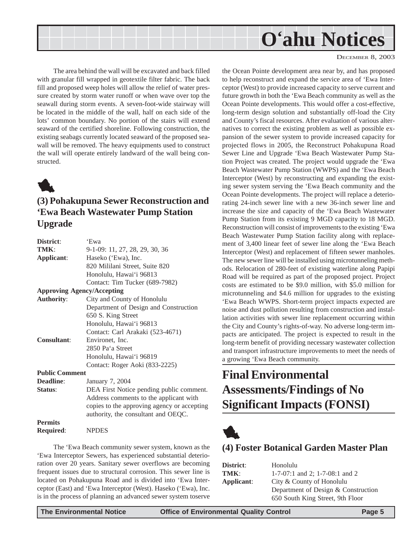<span id="page-4-0"></span>

The area behind the wall will be excavated and back filled with granular fill wrapped in geotextile filter fabric. The back fill and proposed weep holes will allow the relief of water pressure created by storm water runoff or when wave over top the seawall during storm events. A seven-foot-wide stairway will be located in the middle of the wall, half on each side of the lots' common boundary. No portion of the stairs will extend seaward of the certified shoreline. Following construction, the existing seabags currently located seaward of the proposed seawall will be removed. The heavy equipments used to construct the wall will operate entirely landward of the wall being constructed.



### **(3) Pohakupuna Sewer Reconstruction and 'Ewa Beach Wastewater Pump Station Upgrade**

| District:             | 'Ewa                                        |
|-----------------------|---------------------------------------------|
| TMK:                  | 9-1-09: 11, 27, 28, 29, 30, 36              |
| Applicant:            | Haseko ('Ewa), Inc.                         |
|                       | 820 Mililani Street, Suite 820              |
|                       | Honolulu, Hawai'i 96813                     |
|                       | Contact: Tim Tucker (689-7982)              |
|                       | <b>Approving Agency/Accepting</b>           |
| <b>Authority:</b>     | City and County of Honolulu                 |
|                       | Department of Design and Construction       |
|                       | 650 S. King Street                          |
|                       | Honolulu, Hawai'i 96813                     |
|                       | Contact: Carl Arakaki (523-4671)            |
| <b>Consultant:</b>    | Environet, Inc.                             |
|                       | 2850 Pa'a Street                            |
|                       | Honolulu, Hawai'i 96819                     |
|                       | Contact: Roger Aoki (833-2225)              |
| <b>Public Comment</b> |                                             |
| Deadline:             | January 7, 2004                             |
| Status:               | DEA First Notice pending public comment.    |
|                       | Address comments to the applicant with      |
|                       | copies to the approving agency or accepting |
|                       | authority, the consultant and OEQC.         |
| <b>Permits</b>        |                                             |
| <b>Required:</b>      | <b>NPDES</b>                                |
|                       |                                             |

The 'Ewa Beach community sewer system, known as the 'Ewa Interceptor Sewers, has experienced substantial deterioration over 20 years. Sanitary sewer overflows are becoming frequent issues due to structural corrosion. This sewer line is located on Pohakupuna Road and is divided into 'Ewa Interceptor (East) and 'Ewa Interceptor (West). Haseko ('Ewa), Inc. is in the process of planning an advanced sewer system toserve

DECEMBER 8, 2003

the Ocean Pointe development area near by, and has proposed to help reconstruct and expand the service area of 'Ewa Interceptor (West) to provide increased capacity to serve current and future growth in both the 'Ewa Beach community as well as the Ocean Pointe developments. This would offer a cost-effective, long-term design solution and substantially off-load the City and County's fiscal resources. After evaluation of various alternatives to correct the existing problem as well as possible expansion of the sewer system to provide increased capacity for projected flows in 2005, the Reconstruct Pohakupuna Road Sewer Line and Upgrade 'Ewa Beach Wastewater Pump Station Project was created. The project would upgrade the 'Ewa Beach Wastewater Pump Station (WWPS) and the 'Ewa Beach Interceptor (West) by reconstructing and expanding the existing sewer system serving the 'Ewa Beach community and the Ocean Pointe developments. The project will replace a deteriorating 24-inch sewer line with a new 36-inch sewer line and increase the size and capacity of the 'Ewa Beach Wastewater Pump Station from its existing 9 MGD capacity to 18 MGD. Reconstruction will consist of improvements to the existing 'Ewa Beach Wastewater Pump Station facility along with replacement of 3,400 linear feet of sewer line along the 'Ewa Beach Interceptor (West) and replacement of fifteen sewer manholes. The new sewer line will be installed using microtunneling methods. Relocation of 280-feet of existing waterline along Papipi Road will be required as part of the proposed project. Project costs are estimated to be \$9.0 million, with \$5.0 million for microtunneling and \$4.6 million for upgrades to the existing 'Ewa Beach WWPS. Short-term project impacts expected are noise and dust pollution resulting from construction and installation activities with sewer line replacement occurring within the City and County's rights-of-way. No adverse long-term impacts are anticipated. The project is expected to result in the long-term benefit of providing necessary wastewater collection and transport infrastructure improvements to meet the needs of a growing 'Ewa Beach community.

### **Final Environmental Assessments/Findings of No Significant Impacts (FONSI)**



#### **(4) Foster Botanical Garden Master Plan**

| District:  | Honolulu                            |  |  |  |
|------------|-------------------------------------|--|--|--|
| TMK:       | $1-7-07:1$ and 2; $1-7-08:1$ and 2  |  |  |  |
| Applicant: | City & County of Honolulu           |  |  |  |
|            | Department of Design & Construction |  |  |  |
|            | 650 South King Street, 9th Floor    |  |  |  |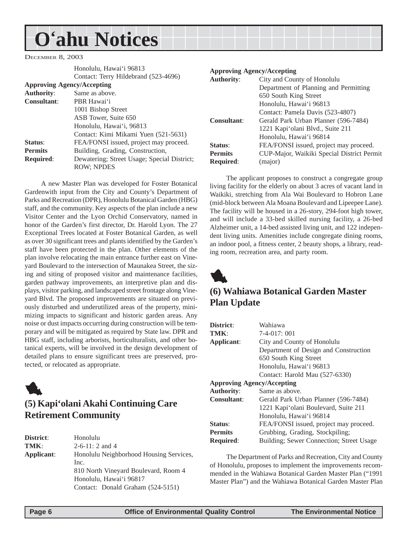# <span id="page-5-0"></span>**O'ahu Notices**

DECEMBER 8, 2003

|                                   | Honolulu, Hawai'i 96813                     |  |  |  |  |
|-----------------------------------|---------------------------------------------|--|--|--|--|
|                                   | Contact: Terry Hildebrand (523-4696)        |  |  |  |  |
| <b>Approving Agency/Accepting</b> |                                             |  |  |  |  |
| <b>Authority:</b>                 | Same as above.                              |  |  |  |  |
| <b>Consultant:</b>                | PBR Hawai'i                                 |  |  |  |  |
|                                   | 1001 Bishop Street                          |  |  |  |  |
|                                   | ASB Tower, Suite 650                        |  |  |  |  |
|                                   | Honolulu, Hawai'i, 96813                    |  |  |  |  |
|                                   | Contact: Kimi Mikami Yuen (521-5631)        |  |  |  |  |
| Status:                           | FEA/FONSI issued, project may proceed.      |  |  |  |  |
| <b>Permits</b>                    | Building, Grading, Construction,            |  |  |  |  |
| <b>Required:</b>                  | Dewatering; Street Usage; Special District; |  |  |  |  |
|                                   | <b>ROW: NPDES</b>                           |  |  |  |  |

A new Master Plan was developed for Foster Botanical Gardenwith input from the City and County's Department of Parks and Recreation (DPR), Honolulu Botanical Garden (HBG) staff, and the community. Key aspects of the plan include a new Visitor Center and the Lyon Orchid Conservatory, named in honor of the Garden's first director, Dr. Harold Lyon. The 27 Exceptional Trees located at Foster Botanical Garden, as well as over 30 significant trees and plants identified by the Garden's staff have been protected in the plan. Other elements of the plan involve relocating the main entrance further east on Vineyard Boulevard to the intersection of Maunakea Street, the sizing and siting of proposed visitor and maintenance facilities, garden pathway improvements, an interpretive plan and displays, visitor parking, and landscaped street frontage along Vineyard Blvd. The proposed improvements are situated on previously disturbed and underutilized areas of the property, minimizing impacts to significant and historic garden areas. Any noise or dust impacts occurring during construction will be temporary and will be mitigated as required by State law. DPR and HBG staff, including arborists, horticulturalists, and other botanical experts, will be involved in the design development of detailed plans to ensure significant trees are preserved, protected, or relocated as appropriate.



### **(5) Kapi'olani Akahi Continuing Care Retirement Community**

**District**: Honolulu **TMK**: 2-6-11: 2 and 4 **Applicant**: Honolulu Neighborhood Housing Services, Inc. 810 North Vineyard Boulevard, Room 4 Honolulu, Hawai'i 96817 Contact: Donald Graham (524-5151)

#### **Approving Agency/Accepting**

| <b>Authority:</b>  | City and County of Honolulu                |  |
|--------------------|--------------------------------------------|--|
|                    | Department of Planning and Permitting      |  |
|                    | 650 South King Street                      |  |
|                    | Honolulu, Hawai'i 96813                    |  |
|                    | Contact: Pamela Davis (523-4807)           |  |
| <b>Consultant:</b> | Gerald Park Urban Planner (596-7484)       |  |
|                    | 1221 Kapi'olani Blvd., Suite 211           |  |
|                    | Honolulu, Hawai'i 96814                    |  |
| Status:            | FEA/FONSI issued, project may proceed.     |  |
| <b>Permits</b>     | CUP-Major, Waikiki Special District Permit |  |
| <b>Required:</b>   | (major)                                    |  |
|                    |                                            |  |

The applicant proposes to construct a congregate group living facility for the elderly on about 3 acres of vacant land in Waikiki, stretching from Ala Wai Boulevard to Hobron Lane (mid-block between Ala Moana Boulevard and Lipeepee Lane). The facility will be housed in a 26-story, 294-foot high tower, and will include a 33-bed skilled nursing facility, a 26-bed Alzheimer unit, a 14-bed assisted living unit, and 122 independent living units. Amenities include congregate dining rooms, an indoor pool, a fitness center, 2 beauty shops, a library, reading room, recreation area, and party room.



#### **(6) Wahiawa Botanical Garden Master Plan Update**

| District:                         | Wahiawa                                  |  |  |  |
|-----------------------------------|------------------------------------------|--|--|--|
| TMK:                              | $7-4-017:001$                            |  |  |  |
| Applicant:                        | City and County of Honolulu              |  |  |  |
|                                   | Department of Design and Construction    |  |  |  |
|                                   | 650 South King Street                    |  |  |  |
|                                   | Honolulu, Hawai'i 96813                  |  |  |  |
|                                   | Contact: Harold Mau (527-6330)           |  |  |  |
| <b>Approving Agency/Accepting</b> |                                          |  |  |  |
| <b>Authority:</b>                 | Same as above.                           |  |  |  |
| <b>Consultant:</b>                | Gerald Park Urban Planner (596-7484)     |  |  |  |
|                                   | 1221 Kapi'olani Boulevard, Suite 211     |  |  |  |
|                                   | Honolulu, Hawai'i 96814                  |  |  |  |
| Status:                           | FEA/FONSI issued, project may proceed.   |  |  |  |
| <b>Permits</b>                    | Grubbing, Grading, Stockpiling;          |  |  |  |
| <b>Required:</b>                  | Building; Sewer Connection; Street Usage |  |  |  |

The Department of Parks and Recreation, City and County of Honolulu, proposes to implement the improvements recommended in the Wahiawa Botanical Garden Master Plan ("1991 Master Plan") and the Wahiawa Botanical Garden Master Plan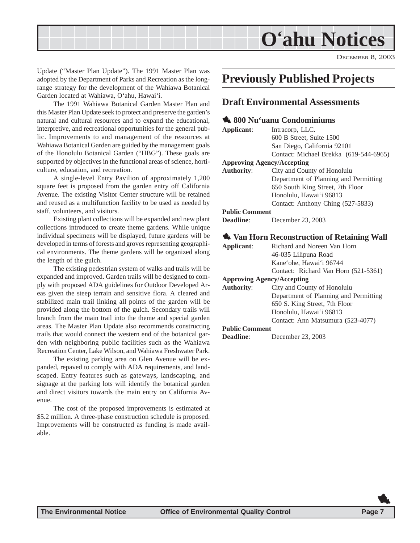<span id="page-6-0"></span>

DECEMBER 8, 2003

Update ("Master Plan Update"). The 1991 Master Plan was adopted by the Department of Parks and Recreation as the longrange strategy for the development of the Wahiawa Botanical Garden located at Wahiawa, O'ahu, Hawai'i.

The 1991 Wahiawa Botanical Garden Master Plan and this Master Plan Update seek to protect and preserve the garden's natural and cultural resources and to expand the educational, interpretive, and recreational opportunities for the general public. Improvements to and management of the resources at Wahiawa Botanical Garden are guided by the management goals of the Honolulu Botanical Garden ("HBG"). These goals are supported by objectives in the functional areas of science, horticulture, education, and recreation.

A single-level Entry Pavilion of approximately 1,200 square feet is proposed from the garden entry off California Avenue. The existing Visitor Center structure will be retained and reused as a multifunction facility to be used as needed by staff, volunteers, and visitors.

Existing plant collections will be expanded and new plant collections introduced to create theme gardens. While unique individual specimens will be displayed, future gardens will be developed in terms of forests and groves representing geographical environments. The theme gardens will be organized along the length of the gulch.

The existing pedestrian system of walks and trails will be expanded and improved. Garden trails will be designed to comply with proposed ADA guidelines for Outdoor Developed Areas given the steep terrain and sensitive flora. A cleared and stabilized main trail linking all points of the garden will be provided along the bottom of the gulch. Secondary trails will branch from the main trail into the theme and special garden areas. The Master Plan Update also recommends constructing trails that would connect the western end of the botanical garden with neighboring public facilities such as the Wahiawa Recreation Center, Lake Wilson, and Wahiawa Freshwater Park.

The existing parking area on Glen Avenue will be expanded, repaved to comply with ADA requirements, and landscaped. Entry features such as gateways, landscaping, and signage at the parking lots will identify the botanical garden and direct visitors towards the main entry on California Avenue.

The cost of the proposed improvements is estimated at \$5.2 million. A three-phase construction schedule is proposed. Improvements will be constructed as funding is made available.

### **Previously Published Projects**

#### **Draft Environmental Assessments**

#### 1 **800 Nu'uanu Condominiums**

| Applicant:                        | Intracorp, LLC.                                     |  |  |  |  |
|-----------------------------------|-----------------------------------------------------|--|--|--|--|
|                                   | 600 B Street, Suite 1500                            |  |  |  |  |
|                                   | San Diego, California 92101                         |  |  |  |  |
|                                   | Contact: Michael Brekka (619-544-6965)              |  |  |  |  |
| <b>Approving Agency/Accepting</b> |                                                     |  |  |  |  |
| <b>Authority:</b>                 | City and County of Honolulu                         |  |  |  |  |
|                                   | Department of Planning and Permitting               |  |  |  |  |
|                                   | 650 South King Street, 7th Floor                    |  |  |  |  |
|                                   | Honolulu, Hawai'i 96813                             |  |  |  |  |
|                                   | Contact: Anthony Ching (527-5833)                   |  |  |  |  |
| <b>Public Comment</b>             |                                                     |  |  |  |  |
| <b>Deadline:</b>                  | December 23, 2003                                   |  |  |  |  |
|                                   |                                                     |  |  |  |  |
|                                   | <b>We Van Horn Reconstruction of Retaining Wall</b> |  |  |  |  |
| Applicant:                        | Richard and Noreen Van Horn                         |  |  |  |  |
|                                   | 46-035 Lilipuna Road                                |  |  |  |  |
|                                   | Kane'ohe, Hawai'i 96744                             |  |  |  |  |
|                                   | Contact: Richard Van Horn (521-5361)                |  |  |  |  |
| <b>Approving Agency/Accepting</b> |                                                     |  |  |  |  |
|                                   |                                                     |  |  |  |  |

**Authority**: City and County of Honolulu Department of Planning and Permitting 650 S. King Street, 7th Floor Honolulu, Hawai'i 96813 Contact: Ann Matsumura (523-4077) **Public Comment**

**Deadline**: December 23, 2003

1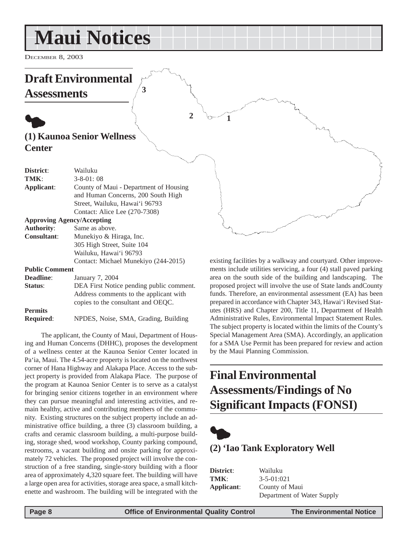# <span id="page-7-0"></span>**Maui Notices**

**3**

DECEMBER 8, 2003

### **Draft Environmental Assessments**

### $\bullet$ **(1) Kaunoa Senior Wellness Center**

| District:             | Wailuku                                  |
|-----------------------|------------------------------------------|
| TMK:                  | $3 - 8 - 01:08$                          |
| Applicant:            | County of Maui - Department of Housing   |
|                       | and Human Concerns, 200 South High       |
|                       | Street, Wailuku, Hawai'i 96793           |
|                       | Contact: Alice Lee (270-7308)            |
|                       | <b>Approving Agency/Accepting</b>        |
| <b>Authority:</b>     | Same as above.                           |
| <b>Consultant:</b>    | Munekiyo & Hiraga, Inc.                  |
|                       | 305 High Street, Suite 104               |
|                       | Wailuku, Hawai'i 96793                   |
|                       | Contact: Michael Munekiyo (244-2015)     |
| <b>Public Comment</b> |                                          |
| Deadline:             | January 7, 2004                          |
| <b>Status:</b>        | DEA First Notice pending public comment. |
|                       | Address comments to the applicant with   |
|                       | copies to the consultant and OEQC.       |
| <b>Permits</b>        |                                          |

**Required**: NPDES, Noise, SMA, Grading, Building

The applicant, the County of Maui, Department of Housing and Human Concerns (DHHC), proposes the development of a wellness center at the Kaunoa Senior Center located in Pa'ia, Maui. The 4.54-acre property is located on the northwest corner of Hana Highway and Alakapa Place. Access to the subject property is provided from Alakapa Place. The purpose of the program at Kaunoa Senior Center is to serve as a catalyst for bringing senior citizens together in an environment where they can pursue meaningful and interesting activities, and remain healthy, active and contributing members of the community. Existing structures on the subject property include an administrative office building, a three (3) classroom building, a crafts and ceramic classroom building, a multi-purpose building, storage shed, wood workshop, County parking compound, restrooms, a vacant building and onsite parking for approximately 72 vehicles. The proposed project will involve the construction of a free standing, single-story building with a floor area of approximately 4,320 square feet. The building will have a large open area for activities, storage area space, a small kitchenette and washroom. The building will be integrated with the existing facilities by a walkway and courtyard. Other improvements include utilities servicing, a four (4) stall paved parking area on the south side of the building and landscaping. The proposed project will involve the use of State lands andCounty funds. Therefore, an environmental assessment (EA) has been prepared in accordance with Chapter 343, Hawai'i Revised Statutes (HRS) and Chapter 200, Title 11, Department of Health Administrative Rules, Environmental Impact Statement Rules. The subject property is located within the limits of the County's Special Management Area (SMA). Accordingly, an application for a SMA Use Permit has been prepared for review and action by the Maui Planning Commission.

### **Final Environmental Assessments/Findings of No Significant Impacts (FONSI)**



**1**

**2**

### **(2) 'Iao Tank Exploratory Well**

| District:  | Wailuku                    |
|------------|----------------------------|
| TMK:       | $3 - 5 - 01:021$           |
| Applicant: | County of Maui             |
|            | Department of Water Supply |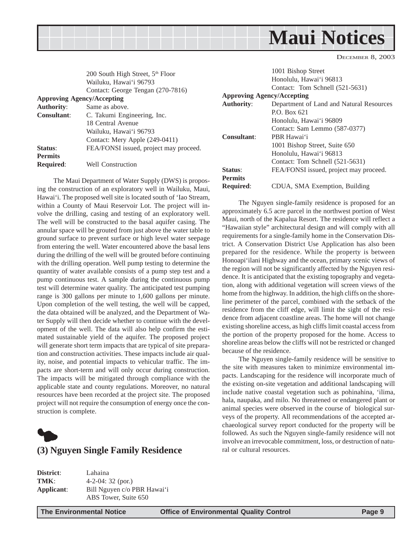<span id="page-8-0"></span>**Maui Notices**

DECEMBER 8, 2003

|                    | 200 South High Street, 5 <sup>th</sup> Floor |                              | 1001 Bi              |
|--------------------|----------------------------------------------|------------------------------|----------------------|
|                    | Wailuku, Hawai'i 96793                       |                              | Honolul              |
|                    | Contact: George Tengan (270-7816)            |                              | Contact:             |
|                    | <b>Approving Agency/Accepting</b>            | <b>Approving Agency/Acce</b> |                      |
| <b>Authority:</b>  | Same as above.                               | <b>Authority:</b>            | Departm              |
| <b>Consultant:</b> | C. Takumi Engineering, Inc.                  |                              | P.O. Bo <sub>2</sub> |
|                    | 18 Central Avenue                            |                              | Honolul              |
|                    | Wailuku, Hawai'i 96793                       |                              | Contact:             |
|                    | Contact: Mery Apple (249-0411)               | <b>Consultant:</b>           | PBR Ha               |
| Status:            | FEA/FONSI issued, project may proceed.       |                              | 1001 Bi              |
| <b>Permits</b>     |                                              |                              | Honolul              |
|                    | <b>Well Construction</b>                     |                              | Contact:             |
| <b>Required:</b>   |                                              | $\sim$ $\sim$                | <b>DD</b> 1 000      |

The Maui Department of Water Supply (DWS) is proposing the construction of an exploratory well in Wailuku, Maui, Hawai'i. The proposed well site is located south of 'Iao Stream, within a County of Maui Reservoir Lot. The project will involve the drilling, casing and testing of an exploratory well. The well will be constructed to the basal aquifer casing. The annular space will be grouted from just above the water table to ground surface to prevent surface or high level water seepage from entering the well. Water encountered above the basal lens during the drilling of the well will be grouted before continuing with the drilling operation. Well pump testing to determine the quantity of water available consists of a pump step test and a pump continuous test. A sample during the continuous pump test will determine water quality. The anticipated test pumping range is 300 gallons per minute to 1,600 gallons per minute. Upon completion of the well testing, the well will be capped, the data obtained will be analyzed, and the Department of Water Supply will then decide whether to continue with the development of the well. The data will also help confirm the estimated sustainable yield of the aquifer. The proposed project will generate short term impacts that are typical of site preparation and construction activities. These impacts include air quality, noise, and potential impacts to vehicular traffic. The impacts are short-term and will only occur during construction. The impacts will be mitigated through compliance with the applicable state and county regulations. Moreover, no natural resources have been recorded at the project site. The proposed project will not require the consumption of energy once the construction is complete.



#### **(3) Nguyen Single Family Residence**

**District**: Lahaina **TMK**: 4-2-04: 32 (por.) **Applicant**: Bill Nguyen c/o PBR Hawai'i ABS Tower, Suite 650

shop Street lu, Hawai'i 96813 Tom Schnell (521-5631) **pting** nent of Land and Natural Resources x 621 lu, Hawai'i 96809 Sam Lemmo (587-0377) **Consultant**: PBR Hawai'i shop Street, Suite 650 lu, Hawai'i 96813 Tom Schnell (521-5631) **Status:** FEA/FONSI issued, project may proceed. **Permits Required**: CDUA, SMA Exemption, Building

The Nguyen single-family residence is proposed for an approximately 6.5 acre parcel in the northwest portion of West Maui, north of the Kapalua Resort. The residence will reflect a "Hawaiian style" architectural design and will comply with all requirements for a single-family home in the Conservation District. A Conservation District Use Application has also been prepared for the residence. While the property is between Honoapi'ilani Highway and the ocean, primary scenic views of the region will not be significantly affected by the Nguyen residence. It is anticipated that the existing topography and vegetation, along with additional vegetation will screen views of the home from the highway. In addition, the high cliffs on the shoreline perimeter of the parcel, combined with the setback of the residence from the cliff edge, will limit the sight of the residence from adjacent coastline areas. The home will not change existing shoreline access, as high cliffs limit coastal access from the portion of the property proposed for the home. Access to shoreline areas below the cliffs will not be restricted or changed because of the residence.

The Nguyen single-family residence will be sensitive to the site with measures taken to minimize environmental impacts. Landscaping for the residence will incorporate much of the existing on-site vegetation and additional landscaping will include native coastal vegetation such as pohinahina, 'ilima, hala, naupaka, and milo. No threatened or endangered plant or animal species were observed in the course of biological surveys of the property. All recommendations of the accepted archaeological survey report conducted for the property will be followed. As such the Nguyen single-family residence will not involve an irrevocable commitment, loss, or destruction of natural or cultural resources.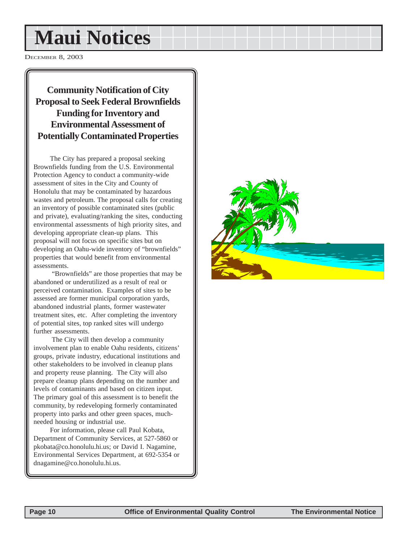# **Maui Notices**

DECEMBER 8, 2003

#### **Community Notification of City Proposal to Seek Federal Brownfields Funding for Inventory and Environmental Assessment of Potentially Contaminated Properties**

The City has prepared a proposal seeking Brownfields funding from the U.S. Environmental Protection Agency to conduct a community-wide assessment of sites in the City and County of Honolulu that may be contaminated by hazardous wastes and petroleum. The proposal calls for creating an inventory of possible contaminated sites (public and private), evaluating/ranking the sites, conducting environmental assessments of high priority sites, and developing appropriate clean-up plans. This proposal will not focus on specific sites but on developing an Oahu-wide inventory of "brownfields" properties that would benefit from environmental assessments.

 "Brownfields" are those properties that may be abandoned or underutilized as a result of real or perceived contamination. Examples of sites to be assessed are former municipal corporation yards, abandoned industrial plants, former wastewater treatment sites, etc. After completing the inventory of potential sites, top ranked sites will undergo further assessments.

The City will then develop a community involvement plan to enable Oahu residents, citizens' groups, private industry, educational institutions and other stakeholders to be involved in cleanup plans and property reuse planning. The City will also prepare cleanup plans depending on the number and levels of contaminants and based on citizen input. The primary goal of this assessment is to benefit the community, by redeveloping formerly contaminated property into parks and other green spaces, muchneeded housing or industrial use.

For information, please call Paul Kobata, Department of Community Services, at 527-5860 or pkobata@co.honolulu.hi.us; or David I. Nagamine, Environmental Services Department, at 692-5354 or dnagamine@co.honolulu.hi.us.

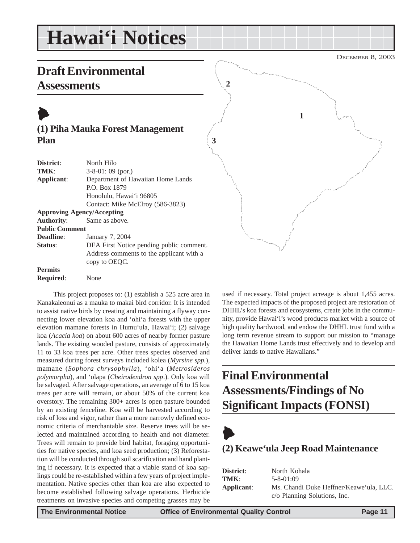# <span id="page-10-0"></span>**Hawai'i Notices**

### **Draft Environmental Assessments**

## $\blacktriangleright$

#### **(1) Piha Mauka Forest Management Plan**

| District:             | North Hilo                               |
|-----------------------|------------------------------------------|
| TMK:                  | $3-8-01:09$ (por.)                       |
| Applicant:            | Department of Hawaiian Home Lands        |
|                       | P.O. Box 1879                            |
|                       | Honolulu, Hawai'i 96805                  |
|                       | Contact: Mike McElroy (586-3823)         |
|                       | <b>Approving Agency/Accepting</b>        |
| <b>Authority:</b>     | Same as above.                           |
| <b>Public Comment</b> |                                          |
| <b>Deadline:</b>      | January 7, 2004                          |
| Status:               | DEA First Notice pending public comment. |
|                       | Address comments to the applicant with a |
|                       | copy to OEOC.                            |
| <b>Permits</b>        |                                          |
| <b>Required:</b>      | None                                     |

This project proposes to: (1) establish a 525 acre area in Kanakaleonui as a mauka to makai bird corridor. It is intended to assist native birds by creating and maintaining a flyway connecting lower elevation koa and 'ohi'a forests with the upper elevation mamane forests in Humu'ula, Hawai'i; (2) salvage koa (*Acacia koa*) on about 600 acres of nearby former pasture lands. The existing wooded pasture, consists of approximately 11 to 33 koa trees per acre. Other trees species observed and measured during forest surveys included kolea (*Myrsine spp.*), mamane (*Sophora chrysophylla*), 'ohi'a (*Metrosideros polymorpha*), and 'olapa (*Cheirodendron spp*.). Only koa will be salvaged. After salvage operations, an average of 6 to 15 koa trees per acre will remain, or about 50% of the current koa overstory. The remaining 300+ acres is open pasture bounded by an existing fenceline. Koa will be harvested according to risk of loss and vigor, rather than a more narrowly defined economic criteria of merchantable size. Reserve trees will be selected and maintained according to health and not diameter. Trees will remain to provide bird habitat, foraging opportunities for native species, and koa seed production; (3) Reforestation will be conducted through soil scarification and hand planting if necessary. It is expected that a viable stand of koa saplings could be re-established within a few years of project implementation. Native species other than koa are also expected to become established following salvage operations. Herbicide treatments on invasive species and competing grasses may be



used if necessary. Total project acreage is about 1,455 acres. The expected impacts of the proposed project are restoration of DHHL's koa forests and ecosystems, create jobs in the community, provide Hawai'i's wood products market with a source of high quality hardwood, and endow the DHHL trust fund with a long term revenue stream to support our mission to "manage the Hawaiian Home Lands trust effectively and to develop and deliver lands to native Hawaiians."

### **Final Environmental Assessments/Findings of No Significant Impacts (FONSI)**



### **(2) Keawe'ula Jeep Road Maintenance**

| District:  | North Kohala                            |
|------------|-----------------------------------------|
| TMK:       | $5 - 8 - 01:09$                         |
| Applicant: | Ms. Chandi Duke Heffner/Keawe'ula, LLC. |
|            | c/o Planning Solutions, Inc.            |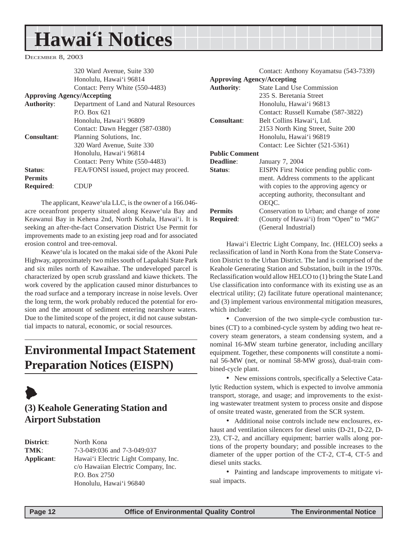# <span id="page-11-0"></span>**Hawai'i Notices**

DECEMBER 8, 2003

|                                   | 320 Ward Avenue, Suite 330               |                       | Contact: Anthony Koyamatsu (543-7339)   |
|-----------------------------------|------------------------------------------|-----------------------|-----------------------------------------|
|                                   | Honolulu, Hawai'i 96814                  |                       | <b>Approving Agency/Accepting</b>       |
|                                   | Contact: Perry White (550-4483)          | <b>Authority:</b>     | <b>State Land Use Commission</b>        |
| <b>Approving Agency/Accepting</b> |                                          |                       | 235 S. Beretania Street                 |
| Authority:                        | Department of Land and Natural Resources |                       | Honolulu, Hawai'i 96813                 |
|                                   | P.O. Box 621                             |                       | Contact: Russell Kumabe (587-3822)      |
|                                   | Honolulu, Hawai'i 96809                  | <b>Consultant:</b>    | Belt Collins Hawai'i, Ltd.              |
|                                   | Contact: Dawn Hegger (587-0380)          |                       | 2153 North King Street, Suite 200       |
| <b>Consultant:</b>                | Planning Solutions, Inc.                 |                       | Honolulu, Hawai'i 96819                 |
|                                   | 320 Ward Avenue, Suite 330               |                       | Contact: Lee Sichter (521-5361)         |
|                                   | Honolulu, Hawai'i 96814                  | <b>Public Comment</b> |                                         |
|                                   | Contact: Perry White (550-4483)          | <b>Deadline:</b>      | January 7, 2004                         |
| Status:                           | FEA/FONSI issued, project may proceed.   | Status:               | EISPN First Notice pending public com-  |
| Permits                           |                                          |                       | ment. Address comments to the applicant |
| <b>Required:</b>                  | <b>CDUP</b>                              |                       | with copies to the approving agency or  |
|                                   |                                          |                       |                                         |

The applicant, Keawe'ula LLC, is the owner of a 166.046 acre oceanfront property situated along Keawe'ula Bay and Keawanui Bay in Kehena 2nd, North Kohala, Hawai'i. It is seeking an after-the-fact Conservation District Use Permit for improvements made to an existing jeep road and for associated erosion control and tree-removal.

Keawe'ula is located on the makai side of the Akoni Pule Highway, approximately two miles south of Lapakahi State Park and six miles north of Kawaihae. The undeveloped parcel is characterized by open scrub grassland and kiawe thickets. The work covered by the application caused minor disturbances to the road surface and a temporary increase in noise levels. Over the long term, the work probably reduced the potential for erosion and the amount of sediment entering nearshore waters. Due to the limited scope of the project, it did not cause substantial impacts to natural, economic, or social resources.

### **Environmental Impact Statement Preparation Notices (EISPN)**

### $\blacklozenge$ **(3) Keahole Generating Station and Airport Substation**

**District**: North Kona **TMK**: 7-3-049:036 and 7-3-049:037 **Applicant**: Hawai'i Electric Light Company, Inc. c/o Hawaiian Electric Company, Inc. P.O. Box 2750 Honolulu, Hawai'i 96840

accepting authority, theconsultant and OEQC. **Permits** Conservation to Urban; and change of zone **Required:** (County of Hawai'i) from "Open" to "MG" (General Industrial) Hawai'i Electric Light Company, Inc. (HELCO) seeks a reclassification of land in North Kona from the State Conservation District to the Urban District. The land is comprised of the

Keahole Generating Station and Substation, built in the 1970s. Reclassification would allow HELCO to (1) bring the State Land Use classification into conformance with its existing use as an electrical utility; (2) facilitate future operational maintenance; and (3) implement various environmental mitigation measures, which include:

• Conversion of the two simple-cycle combustion turbines (CT) to a combined-cycle system by adding two heat recovery steam generators, a steam condensing system, and a nominal 16-MW steam turbine generator, including ancillary equipment. Together, these components will constitute a nominal 56-MW (net, or nominal 58-MW gross), dual-train combined-cycle plant.

• New emissions controls, specifically a Selective Catalytic Reduction system, which is expected to involve ammonia transport, storage, and usage; and improvements to the existing wastewater treatment system to process onsite and dispose of onsite treated waste, generated from the SCR system.

• Additional noise controls include new enclosures, exhaust and ventilation silencers for diesel units (D-21, D-22, D-23), CT-2, and ancillary equipment; barrier walls along portions of the property boundary; and possible increases to the diameter of the upper portion of the CT-2, CT-4, CT-5 and diesel units stacks.

• Painting and landscape improvements to mitigate visual impacts.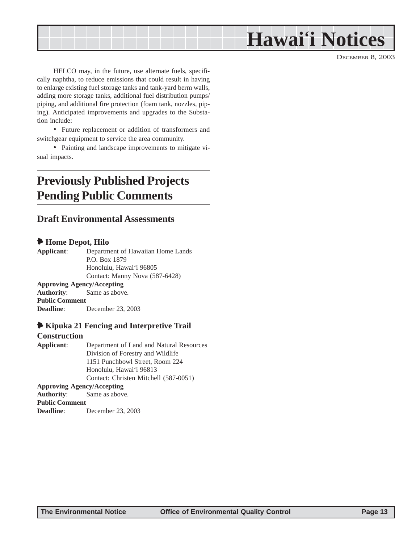# **Hawai'i Notices**

DECEMBER 8, 2003

<span id="page-12-0"></span>HELCO may, in the future, use alternate fuels, specifically naphtha, to reduce emissions that could result in having to enlarge existing fuel storage tanks and tank-yard berm walls, adding more storage tanks, additional fuel distribution pumps/ piping, and additional fire protection (foam tank, nozzles, piping). Anticipated improvements and upgrades to the Substation include:

• Future replacement or addition of transformers and switchgear equipment to service the area community.

• Painting and landscape improvements to mitigate visual impacts.

### **Previously Published Projects Pending Public Comments**

#### **Draft Environmental Assessments**

#### 6 **Home Depot, Hilo**

**Applicant**: Department of Hawaiian Home Lands P.O. Box 1879 Honolulu, Hawai'i 96805 Contact: Manny Nova (587-6428) **Approving Agency/Accepting Authority**: Same as above. **Public Comment**

**Deadline**: December 23, 2003

#### 6 **Kipuka 21 Fencing and Interpretive Trail**

#### **Construction**

**Applicant**: Department of Land and Natural Resources Division of Forestry and Wildlife 1151 Punchbowl Street, Room 224 Honolulu, Hawai'i 96813 Contact: Christen Mitchell (587-0051) **Approving Agency/Accepting Authority**: Same as above. **Public Comment Deadline**: December 23, 2003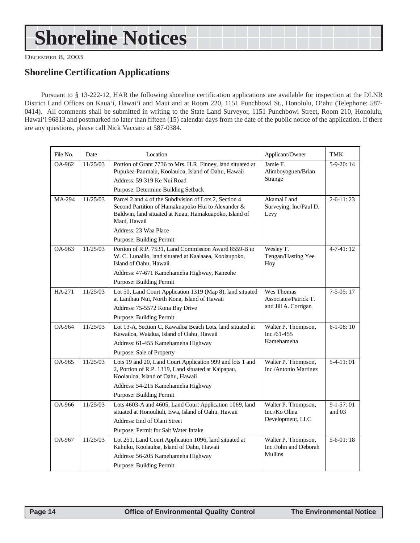# <span id="page-13-0"></span>**Shoreline Notices**

DECEMBER 8, 2003

#### **Shoreline Certification Applications**

Pursuant to § 13-222-12, HAR the following shoreline certification applications are available for inspection at the DLNR District Land Offices on Kaua'i, Hawai'i and Maui and at Room 220, 1151 Punchbowl St., Honolulu, O'ahu (Telephone: 587- 0414). All comments shall be submitted in writing to the State Land Surveyor, 1151 Punchbowl Street, Room 210, Honolulu, Hawai'i 96813 and postmarked no later than fifteen (15) calendar days from the date of the public notice of the application. If there are any questions, please call Nick Vaccaro at 587-0384.

| File No. | Date     | Location                                                                                                                                                                               | Applicant/Owner                                          | TMK                   |
|----------|----------|----------------------------------------------------------------------------------------------------------------------------------------------------------------------------------------|----------------------------------------------------------|-----------------------|
| OA-962   | 11/25/03 | Portion of Grant 7736 to Mrs. H.R. Finney, land situated at<br>Pupukea-Paumalu, Koolauloa, Island of Oahu, Hawaii<br>Address: 59-319 Ke Nui Road                                       | Jamie F.<br>Alimboyoguen/Brian<br>Strange                | $5-9-20:14$           |
|          |          | Purpose: Determine Building Setback                                                                                                                                                    |                                                          |                       |
| MA-294   | 11/25/03 | Parcel 2 and 4 of the Subdivision of Lots 2, Section 4<br>Second Partition of Hamakuapoko Hui to Alexander &<br>Baldwin, land situated at Kuau, Hamakuapoko, Island of<br>Maui. Hawaii | Akamai Land<br>Surveying, Inc/Paul D.<br>Levy            | $2 - 6 - 11:23$       |
|          |          | Address: 23 Waa Place                                                                                                                                                                  |                                                          |                       |
|          |          | Purpose: Building Permit                                                                                                                                                               |                                                          |                       |
| OA-963   | 11/25/03 | Portion of R.P. 7531, Land Commission Award 8559-B to<br>W. C. Lunalilo, land situated at Kaalaaea, Koolaupoko,<br>Island of Oahu, Hawaii                                              | Wesley T.<br>Tengan/Hasting Yee<br>Hoy                   | $4 - 7 - 41 : 12$     |
|          |          | Address: 47-671 Kamehameha Highway, Kaneohe                                                                                                                                            |                                                          |                       |
|          |          | <b>Purpose: Building Permit</b>                                                                                                                                                        |                                                          |                       |
| HA-271   | 11/25/03 | Lot 50, Land Court Application 1319 (Map 8), land situated<br>at Lanihau Nui, North Kona, Island of Hawaii                                                                             | Wes Thomas<br>Associates/Patrick T.                      | $7-5-05:17$           |
|          |          | Address: 75-5572 Kona Bay Drive                                                                                                                                                        | and Jill A. Corrigan                                     |                       |
|          |          | <b>Purpose: Building Permit</b>                                                                                                                                                        |                                                          |                       |
| OA-964   | 11/25/03 | Lot 13-A, Section C, Kawailoa Beach Lots, land situated at<br>Kawailoa, Waialua, Island of Oahu, Hawaii                                                                                | Walter P. Thompson,<br>$Inc./61-455$                     | $6-1-08:10$           |
|          |          | Address: 61-455 Kamehameha Highway                                                                                                                                                     | Kamehameha                                               |                       |
|          |          | Purpose: Sale of Property                                                                                                                                                              |                                                          |                       |
| OA-965   | 11/25/03 | Lots 19 and 20, Land Court Application 999 and lots 1 and<br>2, Portion of R.P. 1319, Land situated at Kaipapau,<br>Koolauloa, Island of Oahu, Hawaii                                  | Walter P. Thompson,<br>Inc./Antonio Martinez             | $5-4-11:01$           |
|          |          | Address: 54-215 Kamehameha Highway                                                                                                                                                     |                                                          |                       |
|          |          | Purpose: Building Permit                                                                                                                                                               |                                                          |                       |
| OA-966   | 11/25/03 | Lots 4603-A and 4605, Land Court Application 1069, land<br>situated at Honouliuli, Ewa, Island of Oahu, Hawaii<br>Address: End of Olani Street                                         | Walter P. Thompson,<br>Inc./Ko Olina<br>Development, LLC | $9-1-57:01$<br>and 03 |
|          |          | Purpose: Permit for Salt Water Intake                                                                                                                                                  |                                                          |                       |
| OA-967   | 11/25/03 | Lot 251, Land Court Application 1096, land situated at                                                                                                                                 | Walter P. Thompson,                                      | $5-6-01:18$           |
|          |          | Kahuku, Koolauloa, Island of Oahu, Hawaii                                                                                                                                              | Inc./John and Deborah                                    |                       |
|          |          | Address: 56-205 Kamehameha Highway                                                                                                                                                     | <b>Mullins</b>                                           |                       |
|          |          | Purpose: Building Permit                                                                                                                                                               |                                                          |                       |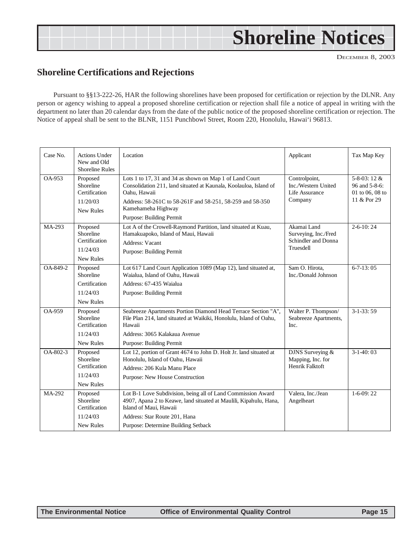# <span id="page-14-0"></span>**Shoreline Notices**

DECEMBER 8, 2003

#### **Shoreline Certifications and Rejections**

Pursuant to §§13-222-26, HAR the following shorelines have been proposed for certification or rejection by the DLNR. Any person or agency wishing to appeal a proposed shoreline certification or rejection shall file a notice of appeal in writing with the department no later than 20 calendar days from the date of the public notice of the proposed shoreline certification or rejection. The Notice of appeal shall be sent to the BLNR, 1151 Punchbowl Street, Room 220, Honolulu, Hawai'i 96813.

| Case No. | <b>Actions Under</b><br>New and Old<br><b>Shoreline Rules</b>   | Location                                                                                                                                                                                                                                                    | Applicant                                                               | Tax Map Key                                                    |
|----------|-----------------------------------------------------------------|-------------------------------------------------------------------------------------------------------------------------------------------------------------------------------------------------------------------------------------------------------------|-------------------------------------------------------------------------|----------------------------------------------------------------|
| OA-953   | Proposed<br>Shoreline<br>Certification<br>11/20/03<br>New Rules | Lots 1 to 17, 31 and 34 as shown on Map 1 of Land Court<br>Consolidation 211, land situated at Kaunala, Koolauloa, Island of<br>Oahu, Hawaii<br>Address: 58-261C to 58-261F and 58-251, 58-259 and 58-350<br>Kamehameha Highway<br>Purpose: Building Permit | Controlpoint,<br>Inc./Western United<br>Life Assurance<br>Company       | 5-8-03:12 &<br>96 and 5-8-6:<br>01 to 06, 08 to<br>11 & Por 29 |
| MA-293   | Proposed<br>Shoreline<br>Certification<br>11/24/03<br>New Rules | Lot A of the Crowell-Raymond Partition, land situated at Kuau,<br>Hamakuapoko, Island of Maui, Hawaii<br>Address: Vacant<br>Purpose: Building Permit                                                                                                        | Akamai Land<br>Surveying, Inc./Fred<br>Schindler and Donna<br>Truesdell | $2 - 6 - 10:24$                                                |
| OA-849-2 | Proposed<br>Shoreline<br>Certification<br>11/24/03<br>New Rules | Lot 617 Land Court Application 1089 (Map 12), land situated at,<br>Waialua, Island of Oahu, Hawaii<br>Address: 67-435 Waialua<br>Purpose: Building Permit                                                                                                   | Sam O. Hirota,<br>Inc./Donald Johnson                                   | $6 - 7 - 13:05$                                                |
| OA-959   | Proposed<br>Shoreline<br>Certification<br>11/24/03<br>New Rules | Seabreeze Apartments Portion Diamond Head Terrace Section "A",<br>File Plan 214, land situated at Waikiki, Honolulu, Island of Oahu,<br>Hawaii<br>Address: 3065 Kalakaua Avenue<br>Purpose: Building Permit                                                 | Walter P. Thompson/<br>Seabreeze Apartments,<br>Inc.                    | $3-1-33:59$                                                    |
| OA-802-3 | Proposed<br>Shoreline<br>Certification<br>11/24/03<br>New Rules | Lot 12, portion of Grant 4674 to John D. Holt Jr. land situated at<br>Honolulu, Island of Oahu, Hawaii<br>Address: 206 Kula Manu Place<br>Purpose: New House Construction                                                                                   | DJNS Surveying &<br>Mapping, Inc. for<br>Henrik Falktoft                | $3-1-40:03$                                                    |
| MA-292   | Proposed<br>Shoreline<br>Certification<br>11/24/03<br>New Rules | Lot B-1 Love Subdivision, being all of Land Commission Award<br>4907, Apana 2 to Keawe, land situated at Maulili, Kipahulu, Hana,<br>Island of Maui. Hawaii<br>Address: Star Route 201, Hana<br>Purpose: Determine Building Setback                         | Valera, Inc./Jean<br>Angelheart                                         | $1-6-09:22$                                                    |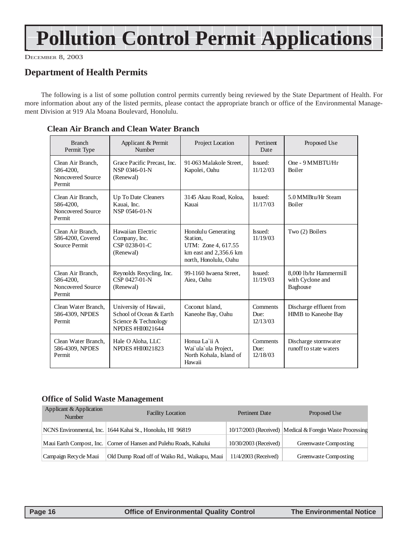# <span id="page-15-0"></span>**Pollution Control Permit Applications**

DECEMBER 8, 2003

#### **Department of Health Permits**

The following is a list of some pollution control permits currently being reviewed by the State Department of Health. For more information about any of the listed permits, please contact the appropriate branch or office of the Environmental Management Division at 919 Ala Moana Boulevard, Honolulu.

| <b>Branch</b><br>Permit Type                                  | Applicant & Permit<br>Number                                                                 | Project Location                                                                                          | Pertinent<br>Date            | Proposed Use                                           |
|---------------------------------------------------------------|----------------------------------------------------------------------------------------------|-----------------------------------------------------------------------------------------------------------|------------------------------|--------------------------------------------------------|
| Clean Air Branch.<br>586-4200,<br>Noncovered Source<br>Permit | Grace Pacific Precast, Inc.<br>NSP 0346-01-N<br>(Renewal)                                    | 91-063 Malakole Street.<br>Kapolei, Oahu                                                                  | Issued:<br>11/12/03          | One - 9 MMBTU/Hr<br><b>Boiler</b>                      |
| Clean Air Branch.<br>586-4200,<br>Noncovered Source<br>Permit | Up To Date Cleaners<br>Kauai. Inc.<br>NSP 0546-01-N                                          | 3145 Akau Road, Koloa,<br>Kanai                                                                           | Issued:<br>11/17/03          | 5.0 MMBtu/Hr Steam<br><b>Boiler</b>                    |
| Clean Air Branch,<br>586-4200, Covered<br>Source Permit       | Hawaiian Electric<br>Company, Inc.<br>CSP 0238-01-C<br>(Renewal)                             | Honolulu Generating<br>Station.<br>UTM: Zone 4, 617.55<br>km east and 2,356.6 km<br>north, Honolulu, Oahu | Issued:<br>11/19/03          | Two (2) Boilers                                        |
| Clean Air Branch,<br>586-4200,<br>Noncovered Source<br>Permit | Reynolds Recycling, Inc.<br>CSP 0427-01-N<br>(Renewal)                                       | 99-1160 Iwaena Street.<br>Aiea, Oahu                                                                      | Issued:<br>11/19/03          | 8.000 lb/hr Hammermill<br>with Cyclone and<br>Baghouse |
| Clean Water Branch.<br>586-4309, NPDES<br>Permit              | University of Hawaii,<br>School of Ocean & Earth<br>Science & Technology<br>NPDES #HI0021644 | Coconut Island.<br>Kaneohe Bay, Oahu                                                                      | Comments<br>Due:<br>12/13/03 | Discharge effluent from<br>HIMB to Kaneohe Bay         |
| Clean Water Branch.<br>586-4309, NPDES<br>Permit              | Hale O Aloha, LLC<br><b>NPDES #HI0021823</b>                                                 | Honua La`ii A<br>Wai'ula'ula Project,<br>North Kohala, Island of<br>Hawaii                                | Comments<br>Due:<br>12/18/03 | Discharge stormwater<br>runoff to state waters         |

#### **Clean Air Branch and Clean Water Branch**

#### **Office of Solid Waste Management**

| Applicant & Application<br>Number | <b>Facility Location</b>                                              | Pertinent Date        | Proposed Use                                             |
|-----------------------------------|-----------------------------------------------------------------------|-----------------------|----------------------------------------------------------|
|                                   | NCNS Environmental, Inc. 1644 Kahai St., Honolulu, HI 96819           |                       | 10/17/2003 (Received) Medical & Foregin Waste Processing |
|                                   | Maui Earth Compost, Inc.   Corner of Hansen and Pulehu Roads, Kahului | 10/30/2003 (Received) | Greenwaste Composting                                    |
| Campaign Recycle Maui             | Old Dump Road off of Waiko Rd., Waikapu, Maui                         | 11/4/2003 (Received)  | Greenwaste Composting                                    |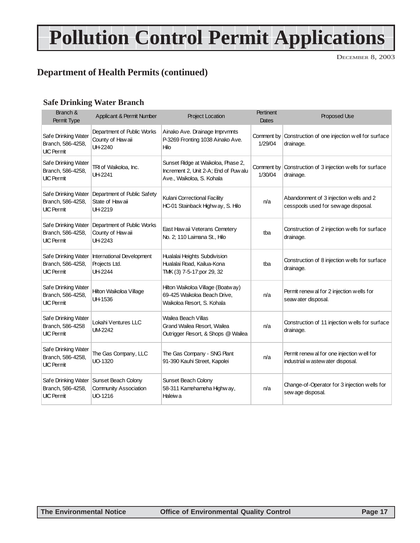# **Pollution Control Permit Applications**

DECEMBER 8, 2003

#### **Department of Health Permits (continued)**

#### **Safe Drinking Water Branch**

| Branch &<br>Permit Type                                       | Applicant & Permit Number                                                   | <b>Project Location</b>                                                                                  | <b>Pertinent</b><br>Dates | Proposed Use                                                                    |
|---------------------------------------------------------------|-----------------------------------------------------------------------------|----------------------------------------------------------------------------------------------------------|---------------------------|---------------------------------------------------------------------------------|
| Safe Drinking Water<br>Branch, 586-4258,<br><b>UIC Permit</b> | Department of Public Works<br>County of Hawaii<br>UH-2240                   | Ainako Ave. Drainage Imprvmnts<br>P-3269 Fronting 1038 Ainako Ave.<br>Hilo                               | 1/29/04                   | Comment by Construction of one injection well for surface<br>drainage.          |
| Safe Drinking Water<br>Branch, 586-4258,<br><b>UIC Permit</b> | TRI of Waikoloa, Inc.<br>UH-2241                                            | Sunset Ridge at Waikoloa, Phase 2,<br>Increment 2, Unit 2-A; End of Puw alu<br>Ave., Waikoloa, S. Kohala | 1/30/04                   | Comment by Construction of 3 injection wells for surface<br>drainage.           |
| Safe Drinking Water<br>Branch, 586-4258,<br><b>UIC Permit</b> | Department of Public Safety<br>State of Haw aii<br>UH-2219                  | Kulani Correctional Facility<br>HC-01 Stainback Highway, S. Hilo                                         | n/a                       | Abandonment of 3 injection wells and 2<br>cesspools used for sew age disposal.  |
| Safe Drinking Water<br>Branch, 586-4258,<br><b>UIC Permit</b> | Department of Public Works<br>County of Hawaii<br>UH-2243                   | East Haw aii Veterans Cemetery<br>No. 2; 110 Laimana St., Hilo                                           | tba                       | Construction of 2 injection wells for surface<br>drainage.                      |
| Safe Drinking Water<br>Branch, 586-4258,<br><b>UIC Permit</b> | International Development<br>Projects Ltd.<br>UH-2244                       | Hualalai Heights Subdivision<br>Hualalai Road, Kailua-Kona<br>TMK (3) 7-5-17:por 29, 32                  | tba                       | Construction of 8 injection wells for surface<br>drainage.                      |
| Safe Drinking Water<br>Branch, 586-4258,<br><b>UIC Permit</b> | Hilton Waikoloa Village<br>UH-1536                                          | Hilton Waikoloa Village (Boatway)<br>69-425 Waikoloa Beach Drive,<br>Waikoloa Resort, S. Kohala          | n/a                       | Permit renew al for 2 injection wells for<br>seaw ater disposal.                |
| Safe Drinking Water<br>Branch, 586-4258<br><b>UIC Permit</b>  | Lokahi Ventures LLC<br><b>UM-2242</b>                                       | Wailea Beach Villas<br>Grand Wailea Resort, Wailea<br>Outrigger Resort, & Shops @ Wailea                 | n/a                       | Construction of 11 injection wells for surface<br>drainage.                     |
| Safe Drinking Water<br>Branch, 586-4258,<br><b>UIC Permit</b> | The Gas Company, LLC<br>UO-1320                                             | The Gas Company - SNG Plant<br>91-390 Kauhi Street, Kapolei                                              | n/a                       | Permit renew al for one injection well for<br>industrial w astew ater disposal. |
| Branch, 586-4258,<br><b>UIC Permit</b>                        | Safe Drinking Water Sunset Beach Colony<br>Community Association<br>UO-1216 | Sunset Beach Colony<br>58-311 Kamehameha Highway,<br>Haleiw a                                            | n/a                       | Change-of-Operator for 3 injection wells for<br>sew age disposal.               |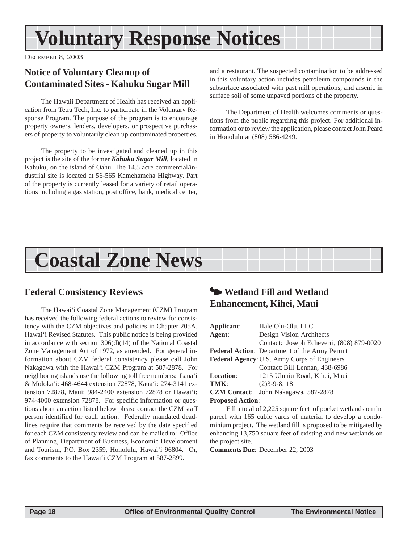# <span id="page-17-0"></span>**Voluntary Response Notices**

DECEMBER 8, 2003

#### **Notice of Voluntary Cleanup of Contaminated Sites - Kahuku Sugar Mill**

The Hawaii Department of Health has received an application from Tetra Tech, Inc. to participate in the Voluntary Response Program. The purpose of the program is to encourage property owners, lenders, developers, or prospective purchasers of property to voluntarily clean up contaminated properties.

The property to be investigated and cleaned up in this project is the site of the former *Kahuku Sugar Mill*, located in Kahuku, on the island of Oahu. The 14.5 acre commercial/industrial site is located at 56-565 Kamehameha Highway. Part of the property is currently leased for a variety of retail operations including a gas station, post office, bank, medical center,

and a restaurant. The suspected contamination to be addressed in this voluntary action includes petroleum compounds in the subsurface associated with past mill operations, and arsenic in surface soil of some unpaved portions of the property.

The Department of Health welcomes comments or questions from the public regarding this project. For additional information or to review the application, please contact John Peard in Honolulu at (808) 586-4249.

# **Coastal Zone News**

#### **Federal Consistency Reviews**

The Hawai'i Coastal Zone Management (CZM) Program has received the following federal actions to review for consistency with the CZM objectives and policies in Chapter 205A, Hawai'i Revised Statutes. This public notice is being provided in accordance with section 306(d)(14) of the National Coastal Zone Management Act of 1972, as amended. For general information about CZM federal consistency please call John Nakagawa with the Hawai'i CZM Program at 587-2878. For neighboring islands use the following toll free numbers: Lana'i & Moloka'i: 468-4644 extension 72878, Kaua'i: 274-3141 extension 72878, Maui: 984-2400 extension 72878 or Hawai'i: 974-4000 extension 72878. For specific information or questions about an action listed below please contact the CZM staff person identified for each action. Federally mandated deadlines require that comments be received by the date specified for each CZM consistency review and can be mailed to: Office of Planning, Department of Business, Economic Development and Tourism, P.O. Box 2359, Honolulu, Hawai'i 96804. Or, fax comments to the Hawai'i CZM Program at 587-2899.

### 3 **Wetland Fill and Wetland Enhancement, Kihei, Maui**

| Applicant:                                   | Hale Olu-Olu, LLC                             |  |
|----------------------------------------------|-----------------------------------------------|--|
| Agent:                                       | Design Vision Architects                      |  |
|                                              | Contact: Joseph Echeverri, (808) 879-0020     |  |
|                                              | Federal Action: Department of the Army Permit |  |
| Federal Agency: U.S. Army Corps of Engineers |                                               |  |
|                                              | Contact: Bill Lennan, 438-6986                |  |
| <b>Location:</b>                             | 1215 Uluniu Road, Kihei, Maui                 |  |
| TMK:                                         | $(2)3 - 9 - 8$ : 18                           |  |
| <b>CZM</b> Contact:                          | John Nakagawa, 587-2878                       |  |
| <b>Proposed Action:</b>                      |                                               |  |

Fill a total of 2,225 square feet of pocket wetlands on the parcel with 165 cubic yards of material to develop a condominium project. The wetland fill is proposed to be mitigated by enhancing 13,750 square feet of existing and new wetlands on the project site.

**Comments Due**: December 22, 2003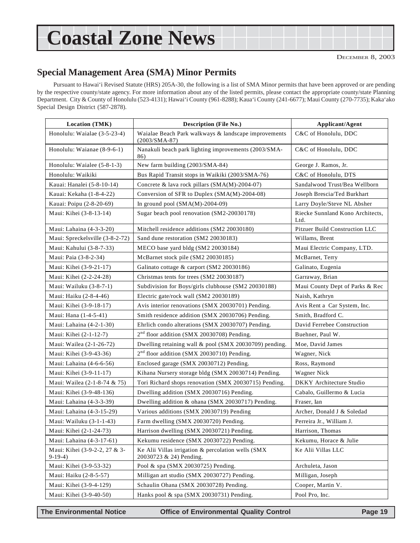# **Coastal Zone News**

#### **Special Management Area (SMA) Minor Permits**

Pursuant to Hawai'i Revised Statute (HRS) 205A-30, the following is a list of SMA Minor permits that have been approved or are pending by the respective county/state agency. For more information about any of the listed permits, please contact the appropriate county/state Planning Department. City & County of Honolulu (523-4131); Hawai'i County (961-8288); Kaua'i County (241-6677); Maui County (270-7735); Kaka'ako Special Design District (587-2878).

| <b>Location (TMK)</b>                      | <b>Description (File No.)</b>                                                 | Applicant/Agent                          |  |
|--------------------------------------------|-------------------------------------------------------------------------------|------------------------------------------|--|
| Honolulu: Waialae (3-5-23-4)               | Waialae Beach Park walkways & landscape improvements<br>$(2003/SMA-87)$       | C&C of Honolulu, DDC                     |  |
| Honolulu: Waianae (8-9-6-1)                | Nanakuli beach park lighting improvements (2003/SMA-<br>86)                   | C&C of Honolulu, DDC                     |  |
| Honolulu: Waialee (5-8-1-3)                | New farm building (2003/SMA-84)                                               | George J. Ramos, Jr.                     |  |
| Honolulu: Waikiki                          | Bus Rapid Transit stops in Waikiki (2003/SMA-76)                              | C&C of Honolulu, DTS                     |  |
| Kauai: Hanalei (5-8-10-14)                 | Concrete & lava rock pillars (SMA(M)-2004-07)                                 | Sandalwood Trust/Bea Wellborn            |  |
| Kauai: Kekaha (1-8-4-22)                   | Conversion of SFR to Duplex (SMA(M)-2004-08)                                  | Joseph Brescia/Ted Burkhart              |  |
| Kauai: Poipu (2-8-20-69)                   | In ground pool $(SMA(M)-2004-09)$                                             | Larry Doyle/Steve NL Absher              |  |
| Maui: Kihei (3-8-13-14)                    | Sugar beach pool renovation (SM2-20030178)                                    | Riecke Sunnland Kono Architects,<br>Ltd. |  |
| Maui: Lahaina (4-3-3-20)                   | Mitchell residence additions (SM2 20030180)                                   | Pitzuer Build Construction LLC           |  |
| Maui: Spreckelsville (3-8-2-72)            | Sand dune restoration (SM2 20030183)                                          | Willams, Brent                           |  |
| Maui: Kahului (3-8-7-33)                   | MECO base yard bldg (SM2 20030184)                                            | Maui Electric Company, LTD.              |  |
| Maui: Paia (3-8-2-34)                      | McBarnet stock pile (SM2 20030185)                                            | McBarnet, Terry                          |  |
| Maui: Kihei (3-9-21-17)                    | Galinato cottage & carport (SM2 20030186)                                     | Galinato, Eugenia                        |  |
| Maui: Kihei (2-2-24-28)                    | Christmas tents for trees (SM2 20030187)                                      | Garraway, Brian                          |  |
| Maui: Wailuku (3-8-7-1)                    | Subdivision for Boys/girls clubhouse (SM2 20030188)                           | Maui County Dept of Parks & Rec          |  |
| Maui: Haiku (2-8-4-46)                     | Electric gate/rock wall (SM2 20030189)                                        | Naish, Kathryn                           |  |
| Maui: Kihei (3-9-18-17)                    | Avis interior renovations (SMX 20030701) Pending.                             | Avis Rent a Car System, Inc.             |  |
| Maui: Hana (1-4-5-41)                      | Smith residence addition (SMX 20030706) Pending.                              | Smith, Bradford C.                       |  |
| Maui: Lahaina (4-2-1-30)                   | Ehrlich condo alterations (SMX 20030707) Pending.                             | David Ferrebee Construction              |  |
| Maui: Kihei (2-1-12-7)                     | 2 <sup>nd</sup> floor addition (SMX 20030708) Pending.                        | Buehner, Paul W.                         |  |
| Maui: Wailea (2-1-26-72)                   | Dwelling retaining wall & pool (SMX 20030709) pending.                        | Moe, David James                         |  |
| Maui: Kihei (3-9-43-36)                    | 2 <sup>nd</sup> floor addition (SMX 20030710) Pending.                        | Wagner, Nick                             |  |
| Maui: Lahaina (4-6-6-56)                   | Enclosed garage (SMX 20030712) Pending.                                       | Ross, Raymond                            |  |
| Maui: Kihei (3-9-11-17)                    | Kihana Nursery storage bldg (SMX 20030714) Pending.                           | Wagner Nick                              |  |
| Maui: Wailea (2-1-8-74 & 75)               | Tori Richard shops renovation (SMX 20030715) Pending.                         | DKKY Architecture Studio                 |  |
| Maui: Kihei (3-9-48-136)                   | Dwelling addition (SMX 20030716) Pending.                                     | Cabalo, Guillermo & Lucia                |  |
| Maui: Lahaina (4-3-3-39)                   | Dwelling addition & ohana (SMX 20030717) Pending.                             | Fraser, Ian                              |  |
| Maui: Lahaina (4-3-15-29)                  | Various additions (SMX 20030719) Pending                                      | Archer, Donald J & Soledad               |  |
| Maui: Wailuku (3-1-1-43)                   | Farm dwelling (SMX 20030720) Pending.                                         | Perreira Jr., William J.                 |  |
| Maui: Kihei (2-1-24-73)                    | Harrison dwelling (SMX 20030721) Pending.                                     | Harrison, Thomas                         |  |
| Maui: Lahaina (4-3-17-61)                  | Kekumu residence (SMX 20030722) Pending.                                      | Kekumu, Horace & Julie                   |  |
| Maui: Kihei (3-9-2-2, 27 & 3-<br>$9-19-4)$ | Ke Alii Villas irrigation & percolation wells (SMX<br>20030723 & 24) Pending. | Ke Alii Villas LLC                       |  |
| Maui: Kihei (3-9-53-32)                    | Pool & spa (SMX 20030725) Pending.                                            | Archuleta, Jason                         |  |
| Maui: Haiku (2-8-5-57)                     | Milligan art studio (SMX 20030727) Pending.                                   | Milligan, Joseph                         |  |
| Maui: Kihei (3-9-4-129)                    | Schaulin Ohana (SMX 20030728) Pending.                                        | Cooper, Martin V.                        |  |
| Maui: Kihei (3-9-40-50)                    | Hanks pool & spa (SMX 20030731) Pending.                                      | Pool Pro, Inc.                           |  |

**The Environmental Notice Office of Environmental Quality Control Page 19**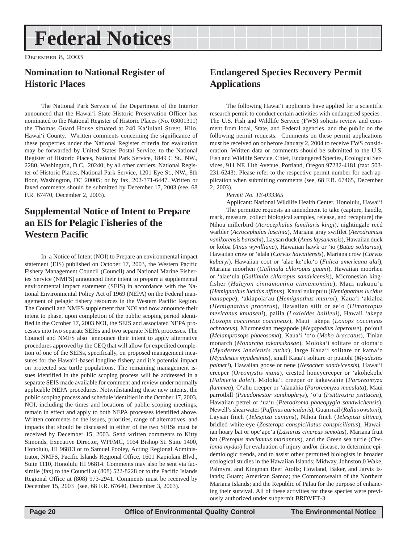# <span id="page-19-0"></span>**Federal Notices**

DECEMBER 8, 2003

#### **Nomination to National Register of Historic Places**

The National Park Service of the Department of the Interior announced that the Hawai'i State Historic Preservation Officer has nominated to the National Register of Historic Places (No. 03001311) the Thomas Guard House situated at 240 Ka'iulani Street, Hilo. Hawai'i County. W\ritten comments concerning the significance of these properties under the National Register criteria for evaluation may be forwarded by United States Postal Service, to the National Register of Historic Places, National Park Service, 1849 C St., NW., 2280, Washington, D.C, 20240; by all other carriers, National Register of Historic Places, National Park Service, 1201 Eye St., NW., 8th floor, Washington, DC 20005; or by fax, 202-371-6447. Written or faxed comments should be submitted by December 17, 2003 (see, 68 F.R. 67470, December 2, 2003).

#### **Supplemental Notice of Intent to Prepare an EIS for Pelagic Fisheries of the Western Pacific**

In a Notice of Intent (NOI) to Prepare an environmental impact statement (EIS) published on October 17, 2003, the Western Pacific Fishery Management Council (Council) and National Marine Fisheries Service (NMFS) announced their intent to prepare a supplemental environmental impact statement (SEIS) in accordance with the National Environmental Policy Act of 1969 (NEPA) on the Federal management of pelagic fishery resources in the Western Pacific Region. The Council and NMFS supplement that NOI and now announce their intent to phase, upon completion of the public scoping period identified in the October 17, 2003 NOI, the SEIS and associated NEPA processes into two separate SEISs and two separate NEPA processes. The Council and NMFS also announce their intent to apply alternative procedures approved by the CEQ that will allow for expedited completion of one of the SEISs, specifically, on proposed management measures for the Hawai'i-based longline fishery and it's potential impact on protected sea turtle populations. The remaining management issues identified in the public scoping process will be addressed in a separate SEIS made available for comment and review under normally applicable NEPA procedures. Notwithstanding these new intents, the public scoping process and schedule identified in the October 17, 2003, NOI, including the times and locations of public scoping meetings, remain in effect and apply to both NEPA processes identified above. Written comments on the issues, priorities, range of alternatives, and impacts that should be discussed in either of the two SEISs must be received by December 15, 2003. Send written comments to Kitty Simonds, Executive Director, WPFMC, 1164 Bishop St. Suite 1400, Honolulu, HI 96813 or to Samuel Pooley, Acting Regional Administrator, NMFS, Pacific Islands Regional Office, 1601 Kapiolani Blvd., Suite 1110, Honolulu HI 96814. Comments may also be sent via facsimile (fax) to the Council at (808) 522-8228 or to the Pacific Islands Regional Office at (808) 973-2941. Comments must be received by December 15, 2003 (see, 68 F.R. 67640, December 3, 2003).

#### **Endangered Species Recovery Permit Applications**

The following Hawai'i applicants have applied for a scientific research permit to conduct certain activities with endangered species . The U.S. Fish and Wildlife Service (FWS) solicits review and comment from local, State, and Federal agencies, and the public on the following permit requests. Comments on these permit applications must be received on or before January 2, 2004 to receive FWS consideration. Written data or comments should be submitted to the U.S. Fish and Wildlife Service, Chief, Endangered Species, Ecological Services, 911 NE 11th Avenue, Portland, Oregon 97232-4181 (fax: 503- 231-6243). Please refer to the respective permit number for each application when submitting comments (see, 68 F.R. 67465, December 2, 2003).

#### *Permit No. TE-033365*

Applicant: National Wildlife Health Center, Honolulu, Hawai'i The permittee requests an amendment to take (capture, handle, mark, measure, collect biological samples, release, and recapture) the Nihoa millerbird (*Acrocephalus familiaris kingi*), nightingale reed warbler (*Acrocephalus luscinia*), Mariana gray swiftlet (*Aerodramust vanikorensis bartschi*), Laysan duck (*Anas laysanensis*), Hawaiian duck or koloa (*Anas wyvilliana*), Hawaiian hawk or 'io (*Buteo solitarius*), Hawaiian crow or 'alala (*Corvus hawaiiensis*), Mariana crow (*Corvus kubaryi*), Hawaiian coot or 'alae ke'oke'o (*Fulica americana alai*), Mariana moorhen (*Gallinula chloropus guami*), Hawaiian moorhen or 'alae'ula (*Gallinula chloropus sandvicensis*), Micronesian kingfisher (*Halcyon cinnamomina cinnamomina*), Maui nukupu'u (*Hemignathus lucidus affinus*), Kauai nukupu'u (*Hemignathus lucidus hanapepe*), 'akiapola'au (*Hemignathus munroi*), Kaua'i 'akialoa (*Hemignathus procerus*), Hawaiian stilt or ae'o (*Himantopus mexicanus knudseni*), palila (*Loxioides bailleui*), Hawaii 'akepa (*Loxops coccineus coccineus*), Maui 'akepa (*Loxops coccineus ochraceus*), Micronesian megapode (*Megapodius laperouse*), po'ouli (*Melamprosops phaeosoma*), Kaua'i 'o'o (*Moho braccatus*), Tinian monarch (*Monarcha takatsukasae*), Moloka'i solitare or oloma'o (*Myadestes lanaiensis rutha*), large Kaua'i solitare or kama'o (*Myadestes myadesinus*), small Kaua'i solitare or puaiohi (*Myadestes palmeri*), Hawaiian goose or nene (*Nesochen sandvicensis*), Hawai'i creeper (*Oreomystis mana*), crested honeycreeper or 'akohekohe (*Palmeria dolei*), Moloka'i creeper or kakawahie (*Paroreomyza flammea*), O'ahu creeper or 'alauahia (*Paroreomyza maculata*), Maui parrotbill (*Pseudonestor xanthophrys*), 'o'u (*Psittirostra psittacea*), Hawaiian petrel or 'ua'u (*Pterodroma phaeopygia sandwichensis*), Newell's shearwater (*Puffinus auricularis*), Guam rail (*Rallus owstoni*), Laysan finch (*Telespiza cantans*), Nihoa finch (*Telespiza ultima*), bridled white-eye (*Zosterops conspicillatus conspicillatus*), Hawaiian hoary bat or ope'ape'a (*Lasiurus cinereus semotus*), Mariana fruit bat (*Pteropus mariannus mariannus*), and the Green sea turtle (*Chelonia mydas*) for evaluation of injury and/or disease, to determine epidemiologic trends, and to assist other permitted biologists in broader ecological studies in the Hawaiian Islands; Midway, Johnston,0 Wake, Palmyra, and Kingman Reef Atolls; Howland, Baker, and Jarvis Islands; Guam; American Samoa; the Commonwealth of the Northern Mariana Islands; and the Republic of Palau for the purpose of enhancing their survival. All of these activities for these species were previously authorized under subpermit BRDVET-3.